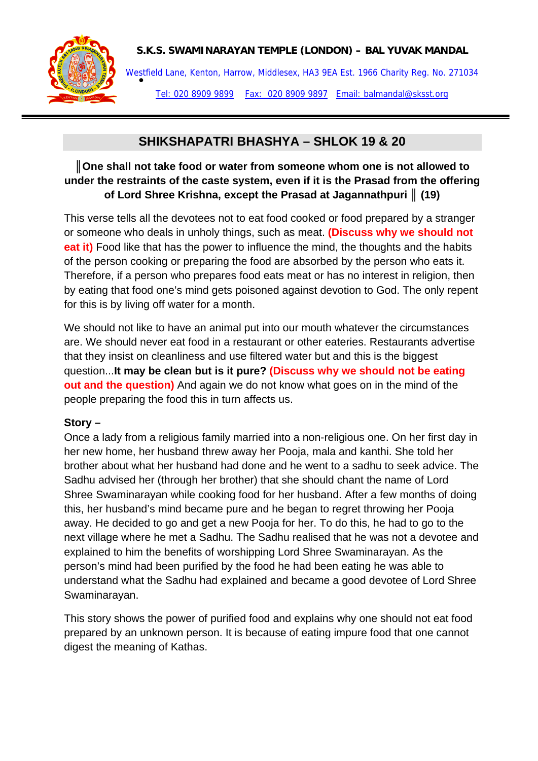## **S.K.S. SWAMINARAYAN TEMPLE (LONDON) – BAL YUVAK MANDAL**



Westfield Lane, Kenton, Harrow, Middlesex, HA3 9EA Est. 1966 Charity Reg. No. 271034<br>● Tel: 020 8909 9899 Fax: 020 8909 9897 Email: balmandal@sksst.org

# **SHIKSHAPATRI BHASHYA – SHLOK 19 & 20**

# **║One shall not take food or water from someone whom one is not allowed to under the restraints of the caste system, even if it is the Prasad from the offering of Lord Shree Krishna, except the Prasad at Jagannathpuri ║ (19)**

This verse tells all the devotees not to eat food cooked or food prepared by a stranger or someone who deals in unholy things, such as meat. **(Discuss why we should not eat it)** Food like that has the power to influence the mind, the thoughts and the habits of the person cooking or preparing the food are absorbed by the person who eats it. Therefore, if a person who prepares food eats meat or has no interest in religion, then by eating that food one's mind gets poisoned against devotion to God. The only repent for this is by living off water for a month.

We should not like to have an animal put into our mouth whatever the circumstances are. We should never eat food in a restaurant or other eateries. Restaurants advertise that they insist on cleanliness and use filtered water but and this is the biggest question...**It may be clean but is it pure? (Discuss why we should not be eating out and the question)** And again we do not know what goes on in the mind of the people preparing the food this in turn affects us.

## **Story –**

Once a lady from a religious family married into a non-religious one. On her first day in her new home, her husband threw away her Pooja, mala and kanthi. She told her brother about what her husband had done and he went to a sadhu to seek advice. The Sadhu advised her (through her brother) that she should chant the name of Lord Shree Swaminarayan while cooking food for her husband. After a few months of doing this, her husband's mind became pure and he began to regret throwing her Pooja away. He decided to go and get a new Pooja for her. To do this, he had to go to the next village where he met a Sadhu. The Sadhu realised that he was not a devotee and explained to him the benefits of worshipping Lord Shree Swaminarayan. As the person's mind had been purified by the food he had been eating he was able to understand what the Sadhu had explained and became a good devotee of Lord Shree Swaminarayan.

This story shows the power of purified food and explains why one should not eat food prepared by an unknown person. It is because of eating impure food that one cannot digest the meaning of Kathas.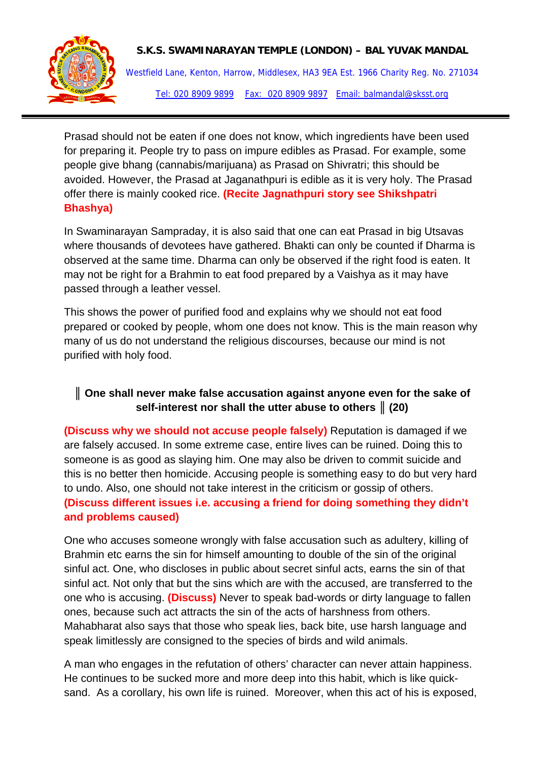

## **S.K.S. SWAMINARAYAN TEMPLE (LONDON) – BAL YUVAK MANDAL**

Westfield Lane, Kenton, Harrow, Middlesex, HA3 9EA Est. 1966 Charity Reg. No. 271034 Tel: 020 8909 9899 Fax: 020 8909 9897 Email: balmandal@sksst.org

Prasad should not be eaten if one does not know, which ingredients have been used for preparing it. People try to pass on impure edibles as Prasad. For example, some people give bhang (cannabis/marijuana) as Prasad on Shivratri; this should be avoided. However, the Prasad at Jaganathpuri is edible as it is very holy. The Prasad offer there is mainly cooked rice. **(Recite Jagnathpuri story see Shikshpatri Bhashya)**

In Swaminarayan Sampraday, it is also said that one can eat Prasad in big Utsavas where thousands of devotees have gathered. Bhakti can only be counted if Dharma is observed at the same time. Dharma can only be observed if the right food is eaten. It may not be right for a Brahmin to eat food prepared by a Vaishya as it may have passed through a leather vessel.

This shows the power of purified food and explains why we should not eat food prepared or cooked by people, whom one does not know. This is the main reason why many of us do not understand the religious discourses, because our mind is not purified with holy food.

# **║ One shall never make false accusation against anyone even for the sake of self-interest nor shall the utter abuse to others ║ (20)**

**(Discuss why we should not accuse people falsely)** Reputation is damaged if we are falsely accused. In some extreme case, entire lives can be ruined. Doing this to someone is as good as slaying him. One may also be driven to commit suicide and this is no better then homicide. Accusing people is something easy to do but very hard to undo. Also, one should not take interest in the criticism or gossip of others. **(Discuss different issues i.e. accusing a friend for doing something they didn't and problems caused)**

One who accuses someone wrongly with false accusation such as adultery, killing of Brahmin etc earns the sin for himself amounting to double of the sin of the original sinful act. One, who discloses in public about secret sinful acts, earns the sin of that sinful act. Not only that but the sins which are with the accused, are transferred to the one who is accusing. **(Discuss)** Never to speak bad-words or dirty language to fallen ones, because such act attracts the sin of the acts of harshness from others. Mahabharat also says that those who speak lies, back bite, use harsh language and speak limitlessly are consigned to the species of birds and wild animals.

A man who engages in the refutation of others' character can never attain happiness. He continues to be sucked more and more deep into this habit, which is like quicksand. As a corollary, his own life is ruined. Moreover, when this act of his is exposed,